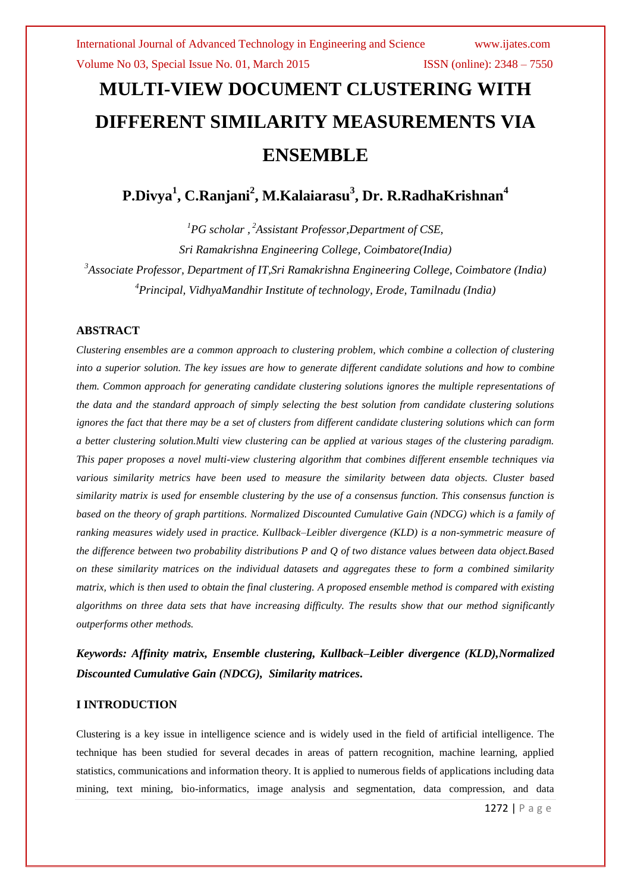# **MULTI-VIEW DOCUMENT CLUSTERING WITH DIFFERENT SIMILARITY MEASUREMENTS VIA ENSEMBLE**

**P.Divya<sup>1</sup> , C.Ranjani<sup>2</sup> , M.Kalaiarasu<sup>3</sup> , Dr. R.RadhaKrishnan<sup>4</sup>**

*PG scholar , <sup>2</sup>Assistant Professor,Department of CSE, Sri Ramakrishna Engineering College, Coimbatore(India) Associate Professor, Department of IT,Sri Ramakrishna Engineering College, Coimbatore (India) Principal, VidhyaMandhir Institute of technology, Erode, Tamilnadu (India)*

### **ABSTRACT**

*Clustering ensembles are a common approach to clustering problem, which combine a collection of clustering into a superior solution. The key issues are how to generate different candidate solutions and how to combine them. Common approach for generating candidate clustering solutions ignores the multiple representations of the data and the standard approach of simply selecting the best solution from candidate clustering solutions ignores the fact that there may be a set of clusters from different candidate clustering solutions which can form a better clustering solution.Multi view clustering can be applied at various stages of the clustering paradigm. This paper proposes a novel multi-view clustering algorithm that combines different ensemble techniques via various similarity metrics have been used to measure the similarity between data objects. Cluster based similarity matrix is used for ensemble clustering by the use of a consensus function. This consensus function is based on the theory of graph partitions. Normalized Discounted Cumulative Gain (NDCG) which is a family of ranking measures widely used in practice. Kullback–Leibler divergence (KLD) is a non-symmetric measure of the difference between two probability distributions P and Q of two distance values between data object.Based on these similarity matrices on the individual datasets and aggregates these to form a combined similarity matrix, which is then used to obtain the final clustering. A proposed ensemble method is compared with existing algorithms on three data sets that have increasing difficulty. The results show that our method significantly outperforms other methods.*

*Keywords: Affinity matrix, Ensemble clustering, Kullback–Leibler divergence (KLD),Normalized Discounted Cumulative Gain (NDCG), Similarity matrices***.**

### **I INTRODUCTION**

Clustering is a key issue in intelligence science and is widely used in the field of artificial intelligence. The technique has been studied for several decades in areas of pattern recognition, machine learning, applied statistics, communications and information theory. It is applied to numerous fields of applications including data mining, text mining, bio-informatics, image analysis and segmentation, data compression, and data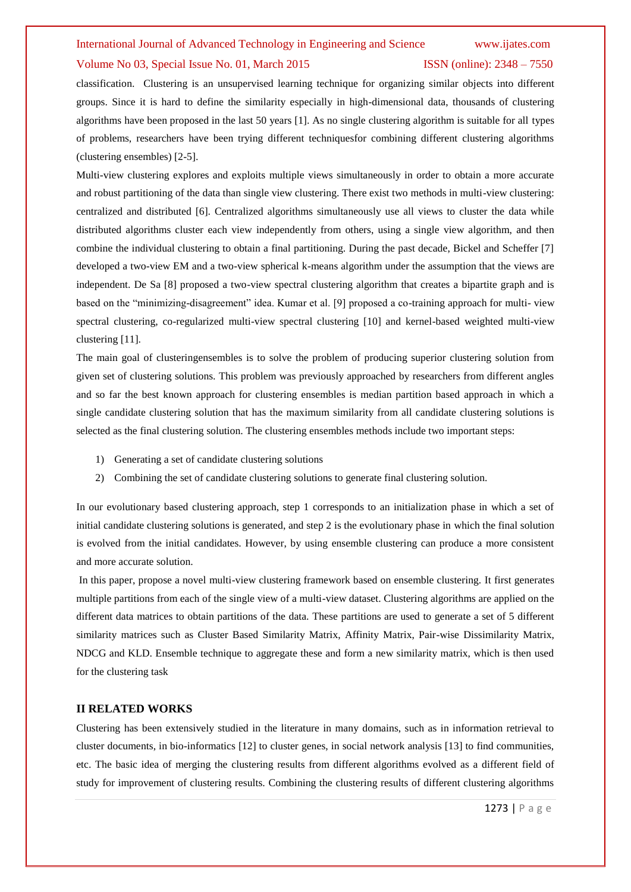#### Volume No 03, Special Issue No. 01, March 2015 ISSN (online): 2348 – 7550

classification. Clustering is an unsupervised learning technique for organizing similar objects into different groups. Since it is hard to define the similarity especially in high-dimensional data, thousands of clustering algorithms have been proposed in the last 50 years [1]. As no single clustering algorithm is suitable for all types of problems, researchers have been trying different techniquesfor combining different clustering algorithms (clustering ensembles) [2-5].

Multi-view clustering explores and exploits multiple views simultaneously in order to obtain a more accurate and robust partitioning of the data than single view clustering. There exist two methods in multi-view clustering: centralized and distributed [6]. Centralized algorithms simultaneously use all views to cluster the data while distributed algorithms cluster each view independently from others, using a single view algorithm, and then combine the individual clustering to obtain a final partitioning. During the past decade, Bickel and Scheffer [7] developed a two-view EM and a two-view spherical k-means algorithm under the assumption that the views are independent. De Sa [8] proposed a two-view spectral clustering algorithm that creates a bipartite graph and is based on the "minimizing-disagreement" idea. Kumar et al. [9] proposed a co-training approach for multi- view spectral clustering, co-regularized multi-view spectral clustering [10] and kernel-based weighted multi-view clustering [11].

The main goal of clusteringensembles is to solve the problem of producing superior clustering solution from given set of clustering solutions. This problem was previously approached by researchers from different angles and so far the best known approach for clustering ensembles is median partition based approach in which a single candidate clustering solution that has the maximum similarity from all candidate clustering solutions is selected as the final clustering solution. The clustering ensembles methods include two important steps:

- 1) Generating a set of candidate clustering solutions
- 2) Combining the set of candidate clustering solutions to generate final clustering solution.

In our evolutionary based clustering approach, step 1 corresponds to an initialization phase in which a set of initial candidate clustering solutions is generated, and step 2 is the evolutionary phase in which the final solution is evolved from the initial candidates. However, by using ensemble clustering can produce a more consistent and more accurate solution.

In this paper, propose a novel multi-view clustering framework based on ensemble clustering. It first generates multiple partitions from each of the single view of a multi-view dataset. Clustering algorithms are applied on the different data matrices to obtain partitions of the data. These partitions are used to generate a set of 5 different similarity matrices such as Cluster Based Similarity Matrix, Affinity Matrix, Pair-wise Dissimilarity Matrix, NDCG and KLD. Ensemble technique to aggregate these and form a new similarity matrix, which is then used for the clustering task

#### **II RELATED WORKS**

Clustering has been extensively studied in the literature in many domains, such as in information retrieval to cluster documents, in bio-informatics [12] to cluster genes, in social network analysis [13] to find communities, etc. The basic idea of merging the clustering results from different algorithms evolved as a different field of study for improvement of clustering results. Combining the clustering results of different clustering algorithms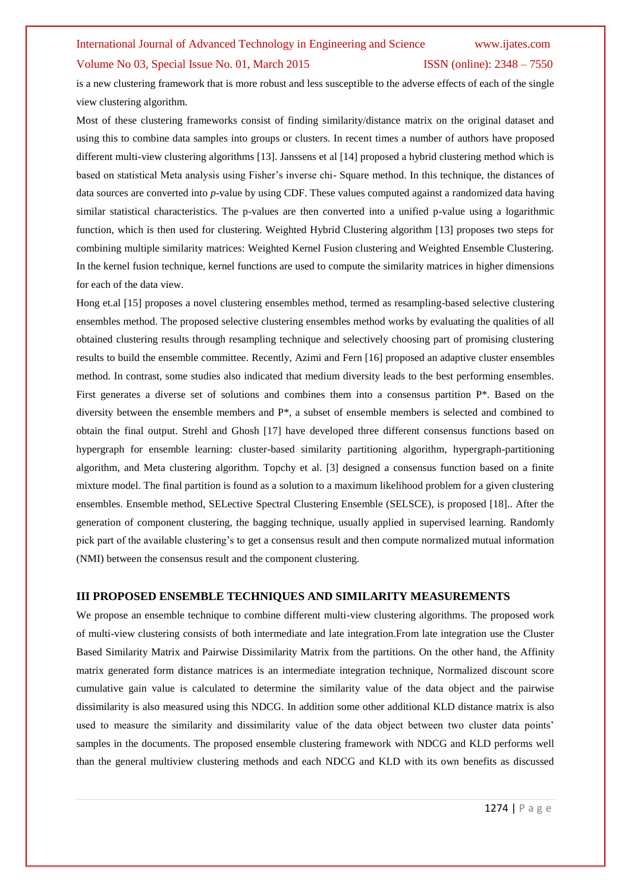### Volume No 03, Special Issue No. 01, March 2015 ISSN (online): 2348 – 7550

is a new clustering framework that is more robust and less susceptible to the adverse effects of each of the single view clustering algorithm.

Most of these clustering frameworks consist of finding similarity/distance matrix on the original dataset and using this to combine data samples into groups or clusters. In recent times a number of authors have proposed different multi-view clustering algorithms [13]. Janssens et al [14] proposed a hybrid clustering method which is based on statistical Meta analysis using Fisher's inverse chi- Square method. In this technique, the distances of data sources are converted into *p*-value by using CDF. These values computed against a randomized data having similar statistical characteristics. The p-values are then converted into a unified p-value using a logarithmic function, which is then used for clustering. Weighted Hybrid Clustering algorithm [13] proposes two steps for combining multiple similarity matrices: Weighted Kernel Fusion clustering and Weighted Ensemble Clustering. In the kernel fusion technique, kernel functions are used to compute the similarity matrices in higher dimensions for each of the data view.

Hong et.al [15] proposes a novel clustering ensembles method, termed as resampling-based selective clustering ensembles method. The proposed selective clustering ensembles method works by evaluating the qualities of all obtained clustering results through resampling technique and selectively choosing part of promising clustering results to build the ensemble committee. Recently, Azimi and Fern [16] proposed an adaptive cluster ensembles method. In contrast, some studies also indicated that medium diversity leads to the best performing ensembles. First generates a diverse set of solutions and combines them into a consensus partition P\*. Based on the diversity between the ensemble members and P\*, a subset of ensemble members is selected and combined to obtain the final output. Strehl and Ghosh [17] have developed three different consensus functions based on hypergraph for ensemble learning: cluster-based similarity partitioning algorithm, hypergraph-partitioning algorithm, and Meta clustering algorithm. Topchy et al. [3] designed a consensus function based on a finite mixture model. The final partition is found as a solution to a maximum likelihood problem for a given clustering ensembles. Ensemble method, SELective Spectral Clustering Ensemble (SELSCE), is proposed [18].. After the generation of component clustering, the bagging technique, usually applied in supervised learning. Randomly pick part of the available clustering's to get a consensus result and then compute normalized mutual information (NMI) between the consensus result and the component clustering.

#### **III PROPOSED ENSEMBLE TECHNIQUES AND SIMILARITY MEASUREMENTS**

We propose an ensemble technique to combine different multi-view clustering algorithms. The proposed work of multi-view clustering consists of both intermediate and late integration.From late integration use the Cluster Based Similarity Matrix and Pairwise Dissimilarity Matrix from the partitions. On the other hand, the Affinity matrix generated form distance matrices is an intermediate integration technique, Normalized discount score cumulative gain value is calculated to determine the similarity value of the data object and the pairwise dissimilarity is also measured using this NDCG. In addition some other additional KLD distance matrix is also used to measure the similarity and dissimilarity value of the data object between two cluster data points' samples in the documents. The proposed ensemble clustering framework with NDCG and KLD performs well than the general multiview clustering methods and each NDCG and KLD with its own benefits as discussed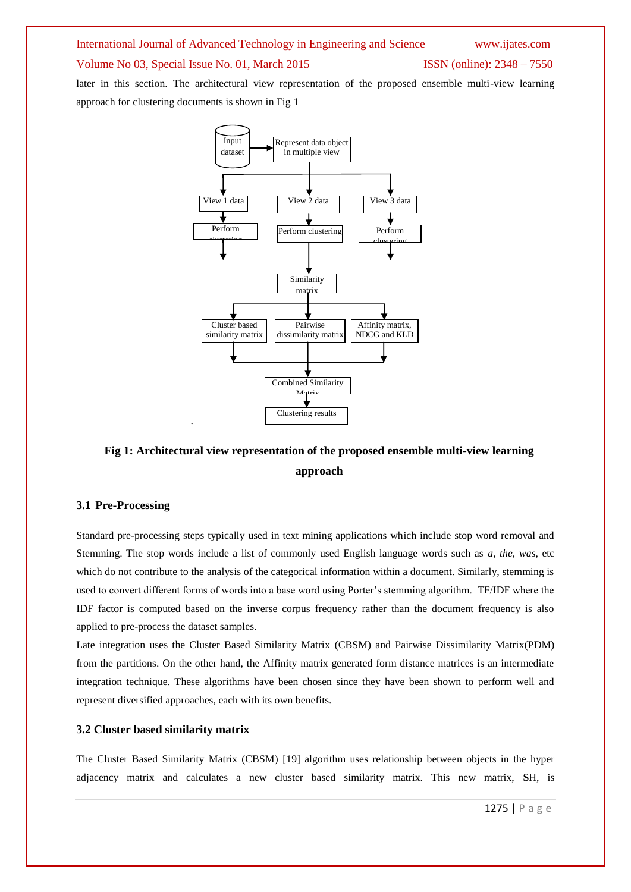### Volume No 03, Special Issue No. 01, March 2015 ISSN (online): 2348 – 7550

later in this section. The architectural view representation of the proposed ensemble multi-view learning approach for clustering documents is shown in Fig 1



# **Fig 1: Architectural view representation of the proposed ensemble multi-view learning approach**

#### **3.1 Pre-Processing**

Standard pre-processing steps typically used in text mining applications which include stop word removal and Stemming. The stop words include a list of commonly used English language words such as *a*, *the*, *was*, etc which do not contribute to the analysis of the categorical information within a document. Similarly, stemming is used to convert different forms of words into a base word using Porter's stemming algorithm. TF/IDF where the IDF factor is computed based on the inverse corpus frequency rather than the document frequency is also applied to pre-process the dataset samples.

Late integration uses the Cluster Based Similarity Matrix (CBSM) and Pairwise Dissimilarity Matrix(PDM) from the partitions. On the other hand, the Affinity matrix generated form distance matrices is an intermediate integration technique. These algorithms have been chosen since they have been shown to perform well and represent diversified approaches, each with its own benefits.

#### **3.2 Cluster based similarity matrix**

The Cluster Based Similarity Matrix (CBSM) [19] algorithm uses relationship between objects in the hyper adjacency matrix and calculates a new cluster based similarity matrix. This new matrix, **S**H, is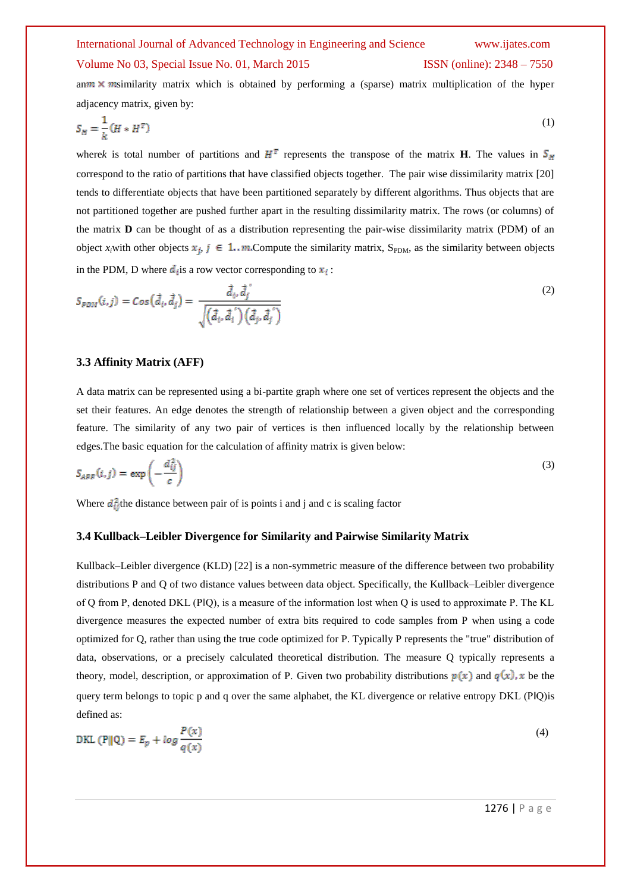# International Journal of Advanced Technology in Engineering and Science www.ijates.com Volume No 03, Special Issue No. 01, March 2015 ISSN (online): 2348 – 7550

an  $m \times m$  similarity matrix which is obtained by performing a (sparse) matrix multiplication of the hyper adjacency matrix, given by:

$$
S_H = \frac{1}{k} \left( H * H^T \right) \tag{1}
$$

wherek is total number of partitions and  $H^T$  represents the transpose of the matrix **H**. The values in  $S_H$ correspond to the ratio of partitions that have classified objects together. The pair wise dissimilarity matrix [20] tends to differentiate objects that have been partitioned separately by different algorithms. Thus objects that are not partitioned together are pushed further apart in the resulting dissimilarity matrix. The rows (or columns) of the matrix **D** can be thought of as a distribution representing the pair-wise dissimilarity matrix (PDM) of an object  $x_i$ with other objects  $x_i$ ,  $j \in 1..m$  Compute the similarity matrix, S<sub>PDM</sub>, as the similarity between objects in the PDM, D where  $d_i$  is a row vector corresponding to  $x_i$ :

$$
S_{PDM}(i,j) = Cos(\vec{d}_i, \vec{d}_j) = \frac{\vec{d}_i, \vec{d}_j'}{\sqrt{(\vec{d}_i, \vec{d}_i') (\vec{d}_j, \vec{d}_j')}
$$
(2)

#### **3.3 Affinity Matrix (AFF)**

A data matrix can be represented using a bi-partite graph where one set of vertices represent the objects and the set their features. An edge denotes the strength of relationship between a given object and the corresponding feature. The similarity of any two pair of vertices is then influenced locally by the relationship between edges.The basic equation for the calculation of affinity matrix is given below:

$$
S_{AFF}(i,j) = \exp\left(-\frac{d_{ij}^2}{c}\right) \tag{3}
$$

Where  $d_{ij}^2$  the distance between pair of is points i and j and c is scaling factor

#### **3.4 Kullback–Leibler Divergence for Similarity and Pairwise Similarity Matrix**

Kullback–Leibler divergence (KLD) [22] is a non-symmetric measure of the difference between two probability distributions P and Q of two distance values between data object. Specifically, the Kullback–Leibler divergence of Q from P, denoted DKL (P‖Q), is a measure of the information lost when Q is used to approximate P. The KL divergence measures the expected number of extra bits required to code samples from P when using a code optimized for Q, rather than using the true code optimized for P. Typically P represents the "true" distribution of data, observations, or a precisely calculated theoretical distribution. The measure Q typically represents a theory, model, description, or approximation of P. Given two probability distributions  $p(x)$  and  $q(x)$ , x be the query term belongs to topic p and q over the same alphabet, the KL divergence or relative entropy DKL (P‖Q)is defined as:

DKL (P
$$
\|Q) = E_p + \log \frac{P(x)}{q(x)}
$$
 (4)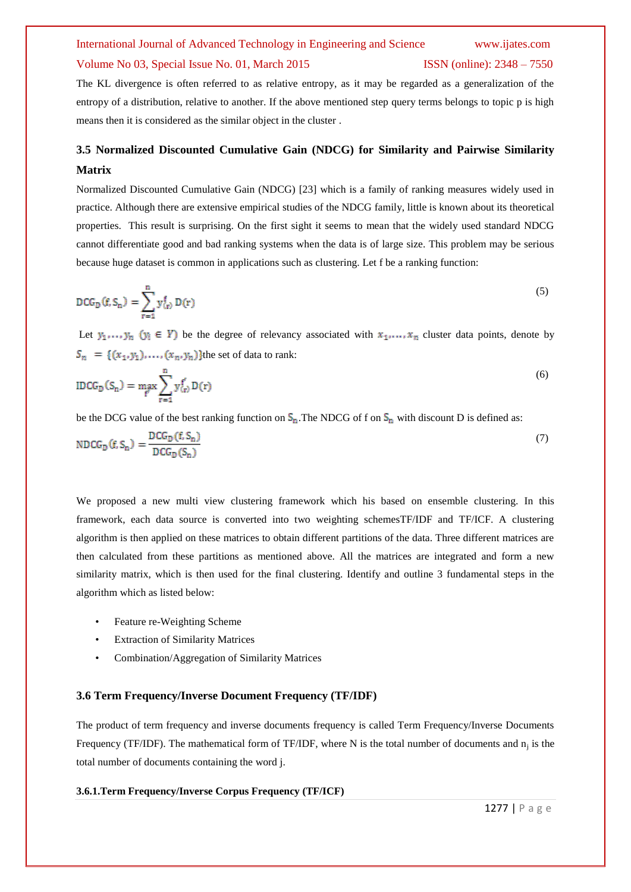#### Volume No 03, Special Issue No. 01, March 2015 ISSN (online): 2348 – 7550

# The KL divergence is often referred to as relative entropy, as it may be regarded as a generalization of the entropy of a distribution, relative to another. If the above mentioned step query terms belongs to topic p is high means then it is considered as the similar object in the cluster .

# **3.5 Normalized Discounted Cumulative Gain (NDCG) for Similarity and Pairwise Similarity Matrix**

Normalized Discounted Cumulative Gain (NDCG) [23] which is a family of ranking measures widely used in practice. Although there are extensive empirical studies of the NDCG family, little is known about its theoretical properties. This result is surprising. On the first sight it seems to mean that the widely used standard NDCG cannot differentiate good and bad ranking systems when the data is of large size. This problem may be serious because huge dataset is common in applications such as clustering. Let f be a ranking function:

$$
DCGD(f, Sn) = \sum_{r=1}^{n} y(r)f D(r)
$$
\n(5)

Let  $y_1, \ldots, y_n$  ( $y_i \in Y$ ) be the degree of relevancy associated with  $x_1, \ldots, x_n$  cluster data points, denote by  $S_n = \{(x_1, y_1), \ldots, (x_n, y_n)\}$ the set of data to rank:

$$
IDCGD(Sn) = \max_{f'} \sum_{r=1}^{n} y_{(r)}^{f'} D(r)
$$
\n(6)

be the DCG value of the best ranking function on  $S_n$ . The NDCG of f on  $S_n$  with discount D is defined as:

$$
NDCG_D(f, S_n) = \frac{DCG_D(f, S_n)}{DCG_D(S_n)}
$$
\n<sup>(7)</sup>

We proposed a new multi view clustering framework which his based on ensemble clustering. In this framework, each data source is converted into two weighting schemesTF/IDF and TF/ICF. A clustering algorithm is then applied on these matrices to obtain different partitions of the data. Three different matrices are then calculated from these partitions as mentioned above. All the matrices are integrated and form a new similarity matrix, which is then used for the final clustering. Identify and outline 3 fundamental steps in the algorithm which as listed below:

- Feature re-Weighting Scheme
- **Extraction of Similarity Matrices**
- Combination/Aggregation of Similarity Matrices

#### **3.6 Term Frequency/Inverse Document Frequency (TF/IDF)**

The product of term frequency and inverse documents frequency is called Term Frequency/Inverse Documents Frequency (TF/IDF). The mathematical form of TF/IDF, where N is the total number of documents and  $n_j$  is the total number of documents containing the word j.

#### **3.6.1.Term Frequency/Inverse Corpus Frequency (TF/ICF)**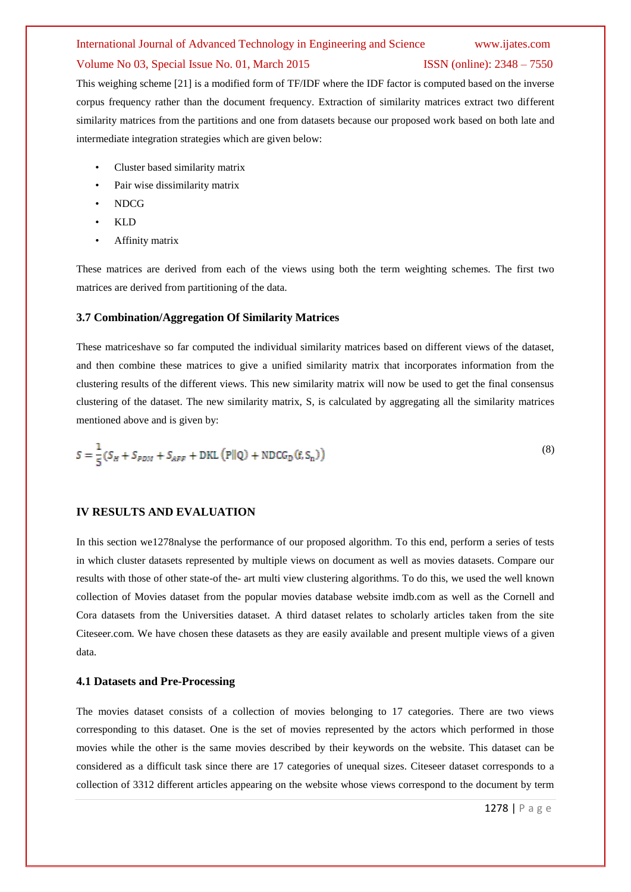#### Volume No 03, Special Issue No. 01, March 2015 ISSN (online): 2348 – 7550

This weighing scheme [21] is a modified form of TF/IDF where the IDF factor is computed based on the inverse corpus frequency rather than the document frequency. Extraction of similarity matrices extract two different similarity matrices from the partitions and one from datasets because our proposed work based on both late and intermediate integration strategies which are given below:

- Cluster based similarity matrix
- Pair wise dissimilarity matrix
- NDCG
- KLD
- Affinity matrix

These matrices are derived from each of the views using both the term weighting schemes. The first two matrices are derived from partitioning of the data.

#### **3.7 Combination/Aggregation Of Similarity Matrices**

These matriceshave so far computed the individual similarity matrices based on different views of the dataset, and then combine these matrices to give a unified similarity matrix that incorporates information from the clustering results of the different views. This new similarity matrix will now be used to get the final consensus clustering of the dataset. The new similarity matrix, S, is calculated by aggregating all the similarity matrices mentioned above and is given by:

$$
S = \frac{1}{5} \left( S_H + S_{PDM} + S_{APF} + \text{DKL} \left( \text{P} \middle| \text{Q} \right) + \text{NDCG}_D \left( f, S_n \right) \right) \tag{8}
$$

#### **IV RESULTS AND EVALUATION**

In this section we1278nalyse the performance of our proposed algorithm. To this end, perform a series of tests in which cluster datasets represented by multiple views on document as well as movies datasets. Compare our results with those of other state-of the- art multi view clustering algorithms. To do this, we used the well known collection of Movies dataset from the popular movies database website imdb.com as well as the Cornell and Cora datasets from the Universities dataset. A third dataset relates to scholarly articles taken from the site Citeseer.com. We have chosen these datasets as they are easily available and present multiple views of a given data.

#### **4.1 Datasets and Pre-Processing**

The movies dataset consists of a collection of movies belonging to 17 categories. There are two views corresponding to this dataset. One is the set of movies represented by the actors which performed in those movies while the other is the same movies described by their keywords on the website. This dataset can be considered as a difficult task since there are 17 categories of unequal sizes. Citeseer dataset corresponds to a collection of 3312 different articles appearing on the website whose views correspond to the document by term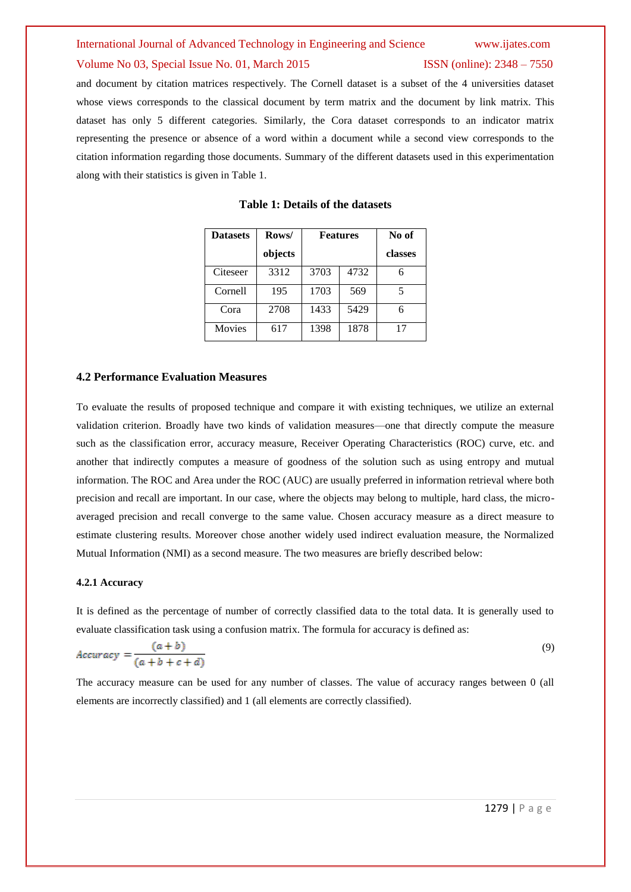### Volume No 03, Special Issue No. 01, March 2015 ISSN (online): 2348 – 7550

and document by citation matrices respectively. The Cornell dataset is a subset of the 4 universities dataset whose views corresponds to the classical document by term matrix and the document by link matrix. This dataset has only 5 different categories. Similarly, the Cora dataset corresponds to an indicator matrix representing the presence or absence of a word within a document while a second view corresponds to the citation information regarding those documents. Summary of the different datasets used in this experimentation along with their statistics is given in Table 1.

| <b>Datasets</b> | Rows/   | <b>Features</b> |      | No of   |
|-----------------|---------|-----------------|------|---------|
|                 | objects |                 |      | classes |
| Citeseer        | 3312    | 3703            | 4732 | 6       |
| Cornell         | 195     | 1703            | 569  | 5       |
| Cora            | 2708    | 1433            | 5429 | 6       |
| <b>Movies</b>   | 617     | 1398            | 1878 | 17      |

#### **Table 1: Details of the datasets**

#### **4.2 Performance Evaluation Measures**

To evaluate the results of proposed technique and compare it with existing techniques, we utilize an external validation criterion. Broadly have two kinds of validation measures—one that directly compute the measure such as the classification error, accuracy measure, Receiver Operating Characteristics (ROC) curve, etc. and another that indirectly computes a measure of goodness of the solution such as using entropy and mutual information. The ROC and Area under the ROC (AUC) are usually preferred in information retrieval where both precision and recall are important. In our case, where the objects may belong to multiple, hard class, the microaveraged precision and recall converge to the same value. Chosen accuracy measure as a direct measure to estimate clustering results. Moreover chose another widely used indirect evaluation measure, the Normalized Mutual Information (NMI) as a second measure. The two measures are briefly described below:

#### **4.2.1 Accuracy**

It is defined as the percentage of number of correctly classified data to the total data. It is generally used to evaluate classification task using a confusion matrix. The formula for accuracy is defined as:

$$
Accuracy = \frac{(a+b)}{(a+b+c+d)}
$$
\n(9)

The accuracy measure can be used for any number of classes. The value of accuracy ranges between 0 (all elements are incorrectly classified) and 1 (all elements are correctly classified).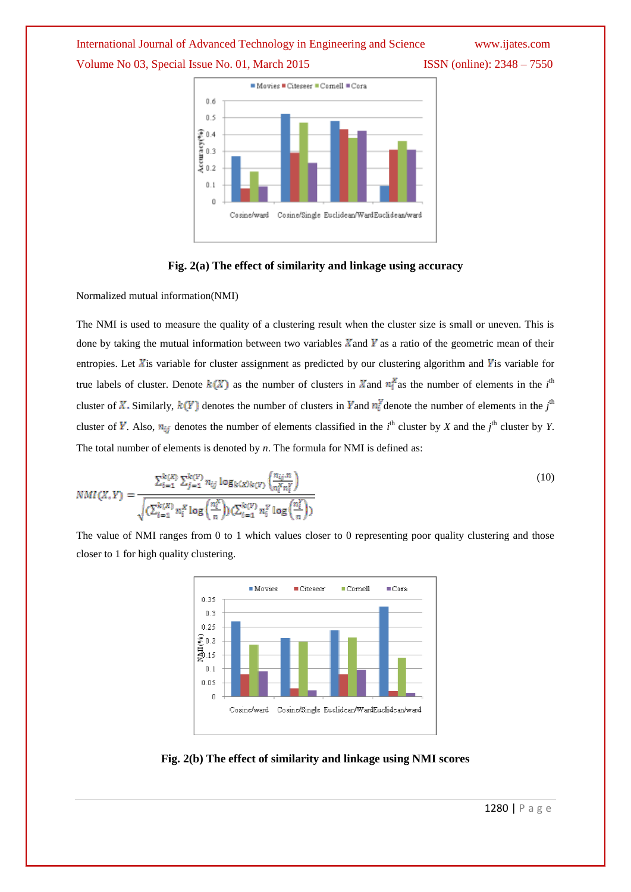# International Journal of Advanced Technology in Engineering and Science www.ijates.com Volume No 03, Special Issue No. 01, March 2015 ISSN (online): 2348 – 7550



### **Fig. 2(a) The effect of similarity and linkage using accuracy**

Normalized mutual information(NMI)

The NMI is used to measure the quality of a clustering result when the cluster size is small or uneven. This is done by taking the mutual information between two variables  $\bar{X}$  and  $\bar{Y}$  as a ratio of the geometric mean of their entropies. Let  $X$ is variable for cluster assignment as predicted by our clustering algorithm and  $Y$ is variable for true labels of cluster. Denote  $k(X)$  as the number of clusters in X and  $n_i^X$  as the number of elements in the *i*<sup>th</sup> cluster of X. Similarly,  $k(Y)$  denotes the number of clusters in Yand  $n_i^Y$  denote the number of elements in the  $j^{\text{th}}$ cluster of Y. Also,  $n_{ij}$  denotes the number of elements classified in the *i*<sup>th</sup> cluster by *X* and the *j*<sup>th</sup> cluster by *Y*. The total number of elements is denoted by *n*. The formula for NMI is defined as:

$$
NMI(X,Y) = \frac{\sum_{i=1}^{k(X)} \sum_{j=1}^{k(Y)} n_{ij} \log_{k(X)k(Y)} \left( \frac{n_{ij}n}{n_i^X n_i^Y} \right)}{\sqrt{\left( \sum_{i=1}^{k(X)} n_i^X \log \left( \frac{n_i^X}{n} \right) \right) \left( \sum_{i=1}^{k(Y)} n_i^Y \log \left( \frac{n_i^Y}{n} \right) \right)}}
$$
(10)

The value of NMI ranges from 0 to 1 which values closer to 0 representing poor quality clustering and those closer to 1 for high quality clustering.



### **Fig. 2(b) The effect of similarity and linkage using NMI scores**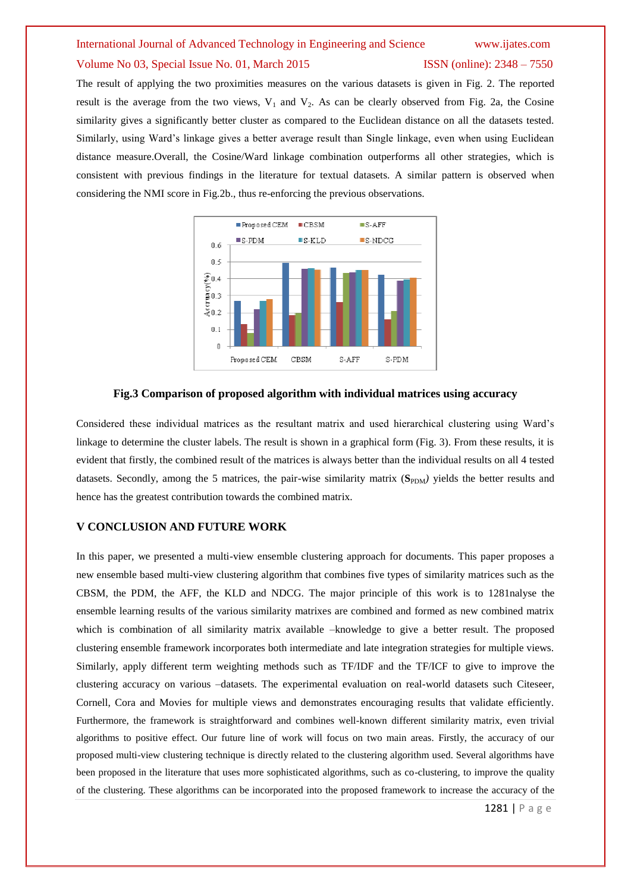### Volume No 03, Special Issue No. 01, March 2015 ISSN (online): 2348 – 7550

The result of applying the two proximities measures on the various datasets is given in Fig. 2. The reported result is the average from the two views,  $V_1$  and  $V_2$ . As can be clearly observed from Fig. 2a, the Cosine similarity gives a significantly better cluster as compared to the Euclidean distance on all the datasets tested. Similarly, using Ward's linkage gives a better average result than Single linkage, even when using Euclidean distance measure.Overall, the Cosine/Ward linkage combination outperforms all other strategies, which is consistent with previous findings in the literature for textual datasets. A similar pattern is observed when considering the NMI score in Fig.2b., thus re-enforcing the previous observations.



### **Fig.3 Comparison of proposed algorithm with individual matrices using accuracy**

Considered these individual matrices as the resultant matrix and used hierarchical clustering using Ward's linkage to determine the cluster labels. The result is shown in a graphical form (Fig. 3). From these results, it is evident that firstly, the combined result of the matrices is always better than the individual results on all 4 tested datasets. Secondly, among the 5 matrices, the pair-wise similarity matrix (S<sub>PDM</sub>) yields the better results and hence has the greatest contribution towards the combined matrix.

### **V CONCLUSION AND FUTURE WORK**

In this paper, we presented a multi-view ensemble clustering approach for documents. This paper proposes a new ensemble based multi-view clustering algorithm that combines five types of similarity matrices such as the CBSM, the PDM, the AFF, the KLD and NDCG. The major principle of this work is to 1281nalyse the ensemble learning results of the various similarity matrixes are combined and formed as new combined matrix which is combination of all similarity matrix available –knowledge to give a better result. The proposed clustering ensemble framework incorporates both intermediate and late integration strategies for multiple views. Similarly, apply different term weighting methods such as TF/IDF and the TF/ICF to give to improve the clustering accuracy on various –datasets. The experimental evaluation on real-world datasets such Citeseer, Cornell, Cora and Movies for multiple views and demonstrates encouraging results that validate efficiently. Furthermore, the framework is straightforward and combines well-known different similarity matrix, even trivial algorithms to positive effect. Our future line of work will focus on two main areas. Firstly, the accuracy of our proposed multi-view clustering technique is directly related to the clustering algorithm used. Several algorithms have been proposed in the literature that uses more sophisticated algorithms, such as co-clustering, to improve the quality of the clustering. These algorithms can be incorporated into the proposed framework to increase the accuracy of the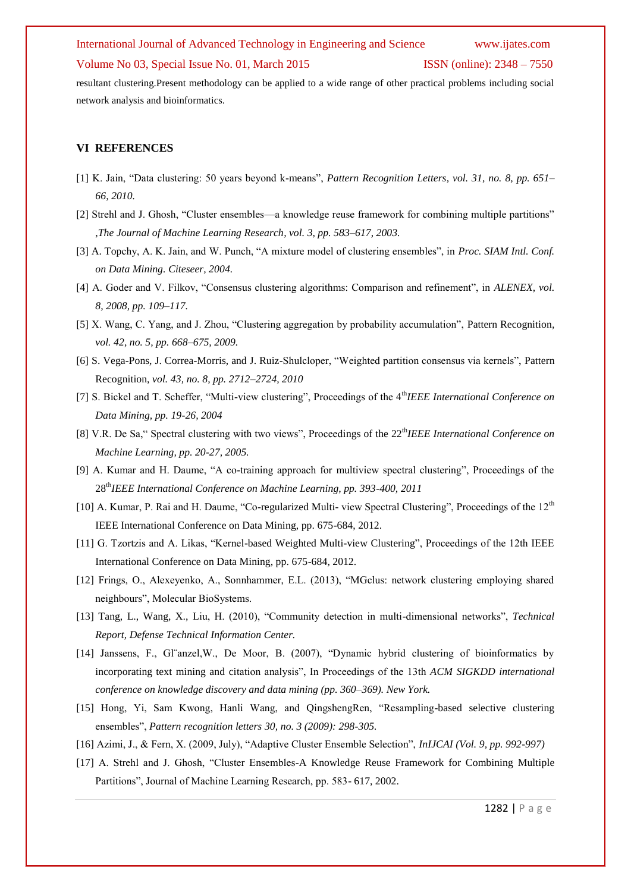#### Volume No 03, Special Issue No. 01, March 2015 ISSN (online): 2348 – 7550

resultant clustering.Present methodology can be applied to a wide range of other practical problems including social network analysis and bioinformatics.

### **VI REFERENCES**

- [1] K. Jain, "Data clustering: 50 years beyond k-means", *Pattern Recognition Letters, vol. 31, no. 8, pp. 651– 66, 2010.*
- [2] Strehl and J. Ghosh, "Cluster ensembles—a knowledge reuse framework for combining multiple partitions" ,*The Journal of Machine Learning Research, vol. 3, pp. 583–617, 2003.*
- [3] A. Topchy, A. K. Jain, and W. Punch, "A mixture model of clustering ensembles", in *Proc. SIAM Intl. Conf. on Data Mining. Citeseer, 2004.*
- [4] A. Goder and V. Filkov, "Consensus clustering algorithms: Comparison and refinement", in *ALENEX, vol. 8, 2008, pp. 109–117.*
- [5] X. Wang, C. Yang, and J. Zhou, "Clustering aggregation by probability accumulation", Pattern Recognition, *vol. 42, no. 5, pp. 668–675, 2009.*
- [6] S. Vega-Pons, J. Correa-Morris, and J. Ruiz-Shulcloper, "Weighted partition consensus via kernels", Pattern Recognition, *vol. 43, no. 8, pp. 2712–2724, 2010*
- [7] S. Bickel and T. Scheffer, "Multi-view clustering", Proceedings of the 4<sup>th</sup>IEEE International Conference on *Data Mining, pp. 19-26, 2004*
- [8] V.R. De Sa," Spectral clustering with two views", Proceedings of the 22<sup>th</sup>IEEE International Conference on *Machine Learning, pp. 20-27, 2005.*
- [9] A. Kumar and H. Daume, "A co-training approach for multiview spectral clustering", Proceedings of the 28th*IEEE International Conference on Machine Learning, pp. 393-400, 2011*
- [10] A. Kumar, P. Rai and H. Daume, "Co-regularized Multi- view Spectral Clustering", Proceedings of the 12<sup>th</sup> IEEE International Conference on Data Mining, pp. 675-684, 2012.
- [11] G. Tzortzis and A. Likas, "Kernel-based Weighted Multi-view Clustering", Proceedings of the 12th IEEE International Conference on Data Mining, pp. 675-684, 2012.
- [12] Frings, O., Alexeyenko, A., Sonnhammer, E.L. (2013), "MGclus: network clustering employing shared neighbours", Molecular BioSystems.
- [13] Tang, L., Wang, X., Liu, H. (2010), "Community detection in multi-dimensional networks", *Technical Report, Defense Technical Information Center.*
- [14] Janssens, F., Gl"anzel, W., De Moor, B. (2007), "Dynamic hybrid clustering of bioinformatics by incorporating text mining and citation analysis", In Proceedings of the 13th *ACM SIGKDD international conference on knowledge discovery and data mining (pp. 360–369). New York.*
- [15] Hong, Yi, Sam Kwong, Hanli Wang, and QingshengRen, "Resampling-based selective clustering ensembles‖, *Pattern recognition letters 30, no. 3 (2009): 298-305.*
- [16] Azimi, J., & Fern, X. (2009, July), "Adaptive Cluster Ensemble Selection", *InIJCAI* (Vol. 9, pp. 992-997)
- [17] A. Strehl and J. Ghosh, "Cluster Ensembles-A Knowledge Reuse Framework for Combining Multiple Partitions", Journal of Machine Learning Research, pp. 583-617, 2002.